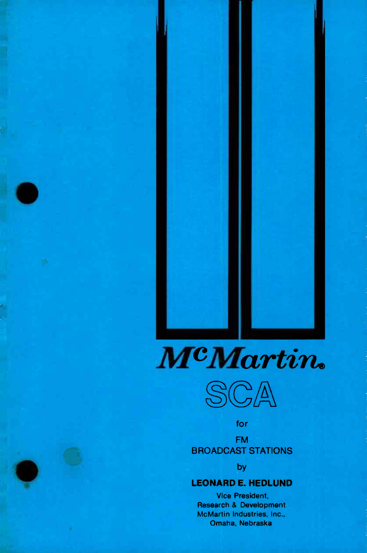



for

FM BROADCAST STATIONS

by

## LEONARD E. HEDLUND

Vice President, Research & Development McMartin Industries, Inc., Omaha, Nebraska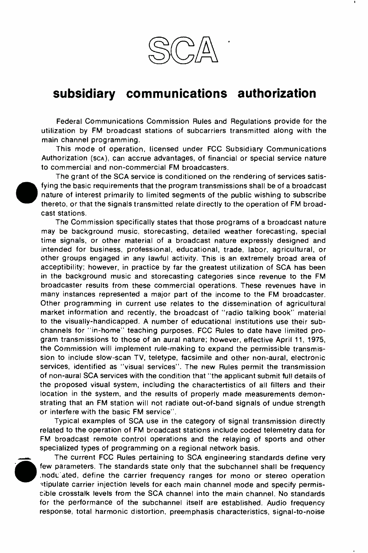

## subsidiary communications authorization

Federal Communications Commission Rules and Regulations provide for the utilization by FM broadcast stations of subcarriers transmitted along with the main channel programming.

This mode of operation, licensed under FCC Subsidiary Communications Authorization (scA), can accrue advantages, of financial or special service nature to commercial and non -commercial FM broadcasters.

The grant of the SCA service is conditioned on the rendering of services satisfying the basic requirements that the program transmissions shall be of a broadcast nature of interest primarily to limited segments of the public wishing to subscribe thereto, or that the signals transmitted relate directly to the operation of FM broadcast stations.

The Commission specifically states that those programs of a broadcast nature may be background music, storecasting, detailed weather forecasting, special time signals, or other material of a broadcast nature expressly designed and intended for business, professional, educational, trade, labor, agricultural, or other groups engaged in any lawful activity. This is an extremely broad area of acceptibility; however, in practice by far the greatest utilization of SCA has been in the background music and storecasting categories since revenue to the FM broadcaster results from these commercial operations. These revenues have in many instances represented a major part of the income to the FM broadcaster. Other programming in current use relates to the dissemination of agricultural market information and recently, the broadcast of "radio talking book" material to the visually-handicapped. A number of educational institutions use their subchannels for "in- home" teaching purposes. FCC Rules to date have limited program transmissions to those of an aural nature; however, effective April 11, 1975, the Commission will implement rule-making to expand the permissible transmission to include slow -scan TV, teletype, facsimile and other non -aural, electronic services, identified as "visual services". The new Rules permit the transmission of non -aural SCA services with the condition that "the applicant submit full details of the proposed visual system, including the charactertistics of all filters and their location in the system, and the results of properly made measurements demonstrating that an FM station will not radiate out -of -band signals of undue strength or interfere with the basic FM service".

Typical examples of SCA use in the category of signal transmission directly related to the operation of FM broadcast stations include coded telemetry data for FM broadcast remote control operations and the relaying of sports and other specialized types of programming on a regional network basis.



The current FCC Rules pertaining to SCA engineering standards define very few parameters. The standards state only that the subchannel shall be frequency .nodL ated, define the carrier frequency ranges for mono or stereo operation 'tipulate carrier injection levels for each main channel mode and specify permissible crosstalk levels from the SCA channel into the main channel. No standards for the performance of the subchannel itself are established. Audio frequency response, total harmonic distortion, preemphasis characteristics, signal -to -noise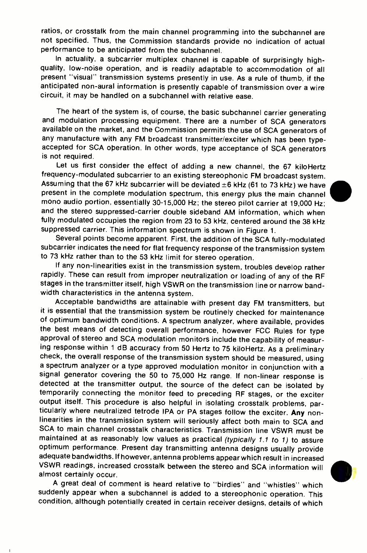ratios, or crosstalk from the main channel programming into the subchannel are not specified. Thus, the Commission standards provide no indication of actual performance to be anticipated from the subchannel.<br>In actuality, a subcarrier multiplex channel is capable of surprisingly high-

quality, low-noise operation, and is readily adaptable to accommodation of all present "visual" transmission systems presently in use. As a rule of thumb, if the anticipated non -aural information is presently capable of transmission over a wire circuit, it may be handled on a subchannel with relative ease.

The heart of the system is, of course, the basic subchannel carrier generating and modulation processing equipment. There are a number of SCA generators available on the market, and the Commission permits the use of SCA generators of any manufacture with any FM broadcast transmitter/exciter which has been typeaccepted for SCA operation. In other words, type acceptance of SCA generators is not required.

Let us first consider the effect of adding a new channel, the 67 kiloHertz frequency -modulated subcarrier to an existing stereophonic FM broadcast system. Assuming that the 67 kHz subcarrier will be deviated  $\pm 6$  kHz (61 to 73 kHz) we have present in the complete modulation spectrum, this energy plus the main channel mono audio portion, essentially 30-15,000 Hz; the stereo pilot carrier at 19,000 Hz; and the stereo suppressed-carrier double sideband AM information, which when fully modulated occupies the region from 23 to 53 kHz, centered around the 38 kHz suppressed carrier. This information spectrum is shown in Figure 1.

Several points become apparent. First, the addition of the SCA fully -modulated subcarrier indicates the need for flat frequency response of the transmission system to 73 kHz rather than to the 53 kHz limit for stereo operation.

If any non -linearities exist in the transmission system, troubles develop rather rapidly. These can result from improper neutralization or loading of any of the RF stages in the transmitter itself, high VSWR on the transmission line or narrow bandwidth characteristics in the antenna system.

Acceptable bandwidths are attainable with present day FM transmitters, but it is essential that the transmission system be routinely checked for maintenance of optimum bandwidth conditions. A spectrum analyzer, where available, provides the best means of detecting overall performance, however FCC Rules for type approval of stereo and SCA modulation monitors include the capability of measur-<br>ing response within 1 dB accuracy from 50 Hertz to 75 kiloHertz. As a preliminary check, the overall response of the transmission system should be measured, using a spectrum analyzer or a type approved modulation monitor in conjunction with a signal generator covering the 50 to 75,000 Hz range. If non-linear response is detected at the transmitter output, the source of the defect can be isolated by temporarily connecting the monitor feed to preceding RF stages, or the exciter output itself. This procedure is also helpful in isolating crosstalk problems, par-<br>ticularly where neutralized tetrode IPA or PA stages follow the exciter. Any nonlinearities in the transmission system will seriously affect both main to SCA and SCA to main channel crosstalk characteristics. Transmission line VSWR must be maintained at as reasonably low values as practical *(typically 1.1 to 1)* to assure optimum performance. Present day transmitting antenna designs usually provide<br>adequate bandwidths. If however, antenna problems appear which result in increased VSWR readings, increased crosstalk between the stereo and SCA information will almost certainly occur.

<sup>A</sup>great deal of comment is heard relative to "birdies" and "whistles" which suddenly appear when a subchannel is added to a stereophonic operation. This condition, although potentially created in certain receiver designs, details of which

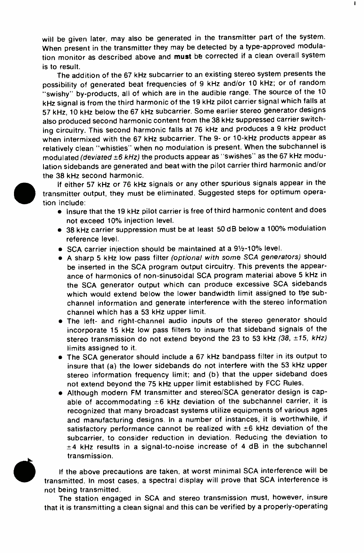will be given later, may also be generated in the transmitter part of the system. When present in the transmitter they may be detected by a type-approved modulation monitor as described above and must be corrected if a clean overall system is to result.

The addition of the 67 kHz subcarrier to an existing stereo system presents the possibility of generated beat frequencies of 9 kHz and/or 10 kHz; or of random "swishy" by-products, all of which are in the audible range. The source of the 10 kHz signal is from the third harmonic of the 19 kHz pilot carrier signal which falls at 57 kHz, 10 kHz below the 67 kHz subcarrier. Some earlier stereo generator designs also produced second harmonic content from the 38 kHz suppressed carrier switching circuitry. This second harmonic falls at 76 kHz and produces a 9 kHz product when intermixed with the 67 kHz subcarrier. The 9- or 10-kHz products appear as relatively clean "whistles" when no modulation is present. When the subchannel is modulated (deviated  $\pm 6$  kHz) the products appear as "swishes" as the 67 kHz modulation sidebands are generated and beat with the pilot carrier third harmonic and/or the 38 kHz second harmonic.



If either 57 kHz or 76 kHz signals or any other spurious signals appear in the transmitter output, they must be eliminated. Suggested steps for optimum operation include:

- Insure that the 19 kHz pilot carrier is free of third harmonic content and does not exceed 10% injection level.
- <sup>38</sup>kHz carrier suppression must be at least 50 dB below a 100% modulation reference level.
- **SCA carrier injection should be maintained at a 91/2-10% level.**
- A sharp 5 kHz low pass filter (optional with some SCA generators) should be inserted in the SCA program output circuitry. This prevents the appearance of harmonics of non-sinusoidal SCA program material above 5 kHz in the SCA generator output which can produce excessive SCA sidebands which would extend below the lower bandwidth limit assigned to the subchannel information and generate interference with the stereo information channel which has a 53 kHz upper limit.
- The left- and right-channel audio inputs of the stereo generator should incorporate 15 kHz low pass filters to insure that sideband signals of the stereo transmission do not extend beyond the 23 to 53 kHz (38, ±15, kHz) limits assigned to it.
- The SCA generator should include a 67 kHz bandpass filter in its output to insure that (a) the lower sidebands do not interfere with the 53 kHz upper stereo information frequency limit; and (b) that the upper sideband does not extend beyond the 75 kHz upper limit established by FCC Rules.
- Although modern FM transmitter and stereo/SCA generator design is capable of accommodating  $\pm 6$  kHz deviation of the subchannel carrier, it is recognized that many broadcast systems utilize equipments of various ages and manufacturing designs. In a number of instances, it is worthwhile, if satisfactory performance cannot be realized with  $\pm 6$  kHz deviation of the subcarrier, to consider reduction in deviation. Reducing the deviation to ±4 kHz results in a signal -to -noise increase of 4 dB in the subchannel transmission.



If the above precautions are taken, at worst minimal SCA interference will be transmitted. In most cases, a spectral display will prove that SCA interference is not being transmitted.

The station engaged in SCA and stereo transmission must, however, insure that it is transmitting a clean signal and this can be verified by a properly-operating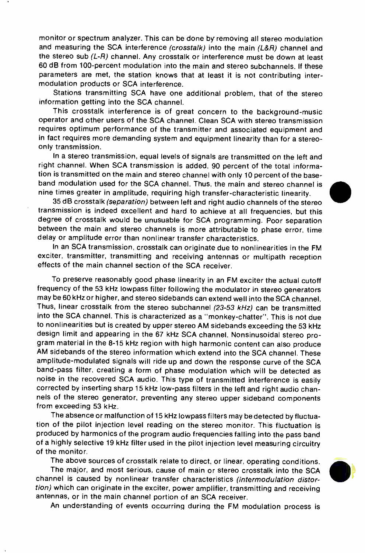monitor or spectrum analyzer. This can be done by removing all stereo modulation and measuring the SCA interference (crosstalk) into the main (L&R) channel and the stereo sub  $(L-R)$  channel. Any crosstalk or interference must be down at least 60 dB from 100 -percent modulation into the main and stereo subchannels. If these parameters are met, the station knows that at least it is not contributing intermodulation products or SCA interference.

Stations transmitting SCA have one additional problem, that of the stereo information getting into the SCA channel.

This crosstalk interference is of great concern to the background -music operator and other users of the SCA channel. Clean SCA with stereo transmission requires optimum performance of the transmitter and associated equipment and in fact requires more demanding system and equipment linearity than for a stereoonly transmission.

In a stereo transmission, equal levels of signals are transmitted on the left and right channel. When SCA transmission is added, 90 percent of the total information is transmitted on the main and stereo channel with only 10 percent of the base band modulation used for the SCA channel. Thus, the main and stereo channel is nine times greater in amplitude, requiring high transfer -characteristic linearity.

35 dB crosstalk (separation) between left and right audio channels of the stereo transmission is indeed excellent and hard to achieve at all frequencies, but this degree of crosstalk would be unusuable for SCA programming. Poor separation between the main and stereo channels is more attributable to phase error, time delay or amplitude error than nonlinear transfer characteristics.

In an SCA transmission, crosstalk can originate due to nonlinearities in the FM exciter, transmitter, transmitting and receiving antennas or multipath reception effects of the main channel section of the SCA receiver.

To preserve reasonably good phase linearity in an FM exciter the actual cutoff frequency of the 53 kHz lowpass filter following the modulator in stereo generators may be 60 kHz or higher, and stereo sidebands can extend well into the SCA channel. Thus, linear crosstalk from the stereo subchannel (23-53 kHz) can be transmitted into the SCA channel. This is characterized as a "monkey- chatter ". This is not due to nonlinearities but is created by upper stereo AM sidebands exceeding the 53 kHz design limit and appearing in the 67 kHz SCA channel. Nonsinusoidal stereo program material in the 8-15 kHz region with high harmonic content can also produce AM sidebands of the stereo information which extend into the SCA channel. These amplitude -modulated signals will ride up and down the response curve of the SCA band -pass filter, creating a form of phase modulation which will be detected as noise in the recovered SCA audio. This type of transmitted interference is easily corrected by inserting sharp 15 kHz low -pass filters in the left and right audio channels of the stereo generator, preventing any stereo upper sideband components from exceeding 53 kHz.

The absence or malfunction of 15 kHz lowpass filters may be detected by fluctuation of the pilot injection level reading on the stereo monitor. This fluctuation is produced by harmonics of the program audio frequencies falling into the pass band of a highly selective 19 kHz filter used in the pilot injection level measuring circuitry of the monitor.

The above sources of crosstalk relate to direct, or linear, operating conditions.

The major, and most serious, cause of main or stereo crosstalk into the SCA channel is caused by nonlinear transfer characteristics (intermodulation distortion) which can originate in the exciter, power amplifier, transmitting and receiving antennas, or in the main channel portion of an SCA receiver.



An understanding of events occurring during the FM modulation process is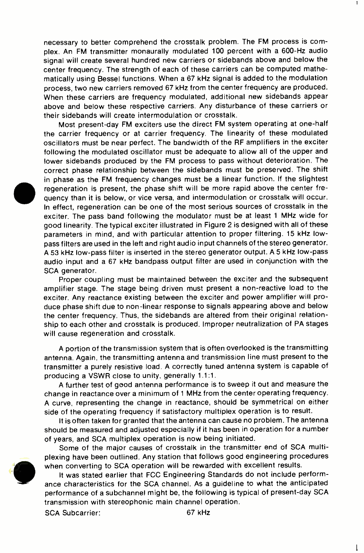necessary to better comprehend the crosstalk problem. The FM process is complex. An FM transmitter monaurally modulated 100 percent with a 600-Hz audio signal will create several hundred new carriers or sidebands above and below the center frequency. The strength of each of these carriers can be computed mathematically using Bessel functions. When a 67 kHz signal is added to the modulation process, two new carriers removed 67 kHz from the center frequency are produced. When these carriers are frequency modulated, additional new sidebands appear above and below these respective carriers. Any disturbance of these carriers or their sidebands will create intermodulation or crosstalk.

Most present -day FM exciters use the direct FM system operating at one -half the carrier frequency or at carrier frequency. The linearity of these modulated oscillators must be near perfect. The bandwidth of the RF amplifiers in the exciter following the modulated oscillator must be adequate to allow all of the upper and lower sidebands produced by the FM process to pass without deterioration. The correct phase relationship between the sidebands must be preserved. The shift in phase as the FM frequency changes must be a linear function. If the slightest regeneration is present, the phase shift will be more rapid above the center frequency than it is below, or vice versa, and intermodulation or crosstalk will occur. In effect, regeneration can be one of the most serious sources of crosstalk in the exciter. The pass band following the modulator must be at least 1 MHz wide for good linearity. The typical exciter illustrated in Figure 2 is designed with all of these parameters in mind, and with particular attention to proper filtering. 15 kHz low pass filters are used in the left and right audio input channels of the stereo generator. A 53 kHz low -pass filter is inserted in the stereo generator output. A 5 kHz low -pass audio input and a 67 kHz bandpass output filter are used in conjunction with the SCA generator.

Proper coupling must be maintained between the exciter and the subsequent amplifier stage. The stage being driven must present a non -reactive load to the exciter. Any reactance existing between the exciter and power amplifier will produce phase shift due to non -linear response to signals appearing above and below the center frequency. Thus, the sidebands are altered from their original relationship to each other and crosstalk is produced. Improper neutralization of PA stages will cause regeneration and crosstalk.

A portion of the transmission system that is often overlooked is the transmitting antenna. Again, the transmitting antenna and transmission line must present to the transmitter a purely resistive load. A correctly tuned antenna system is capable of producing a VSWR close to unity, generally 1.1:1.

A further test of good antenna performance is to sweep it out and measure the change in reactance over a minimum of 1 MHz from the center operating frequency. A curve, representing the change in reactance, should be symmetrical on either side of the operating frequency if satisfactory multiplex operation is to result.

It is often taken for granted that the antenna can cause no problem. The antenna should be measured and adjusted especially if it has been in operation for a number of years, and SCA multiplex operation is now being initiated.

Some of the major causes of crosstalk in the transmitter end of SCA multiplexing have been outlined. Any station that follows good engineering procedures when converting to SCA operation will be rewarded with excellent results.

It was stated earlier that FCC Engineering Standards do not include perform ance characteristics for the SCA channel. As a guideline to what the anticipated performance of a subchannel might be, the following is typical of present -day SCA transmission with stereophonic main channel operation.

SCA Subcarrier: 67 kHz

 $\mathsf{l}$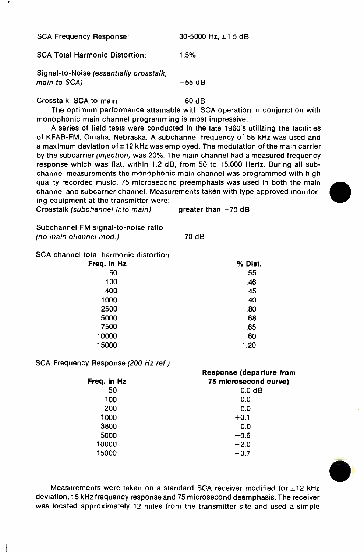SCA Frequency Response: 30-5000 Hz, ±1.5 dB

SCA Total Harmonic Distortion: 1.5%

Signal -to -Noise (essentially crosstalk, main to  $SCA$ )  $-55$  dB

Crosstalk, SCA to main -60 dB

The optimum performance attainable with SCA operation in conjunction with monophonic main channel programming is most impressive.

A series of field tests were conducted in the late 1960's utilizing the facilities of KFAB -FM, Omaha, Nebraska. A subchannel frequency of 58 kHz was used and a maximum deviation of  $\pm$  12 kHz was employed. The modulation of the main carrier by the subcarrier (injection) was 20%. The main channel had a measured frequency response which was flat, within 1.2 dB, from 50 to 15,000 Hertz. During all sub channel measurements the monophonic main channel was programmed with high quality recorded music. 75 microsecond preemphasis was used in both the main channel and subcarrier channel. Measurements taken with type approved monitoring equipment at the transmitter were:

Subchannel FM signal -to -noise ratio (no main channel mod.)  $-70$  dB

SCA channel total harmonic distortion

| % Dist. |
|---------|
| .55     |
| .46     |
| .45     |
| .40     |
| .80     |
| .68     |
| .65     |
| .60     |
| 1.20    |
|         |

SCA Frequency Response (200 Hz ref.)

|             | Response (departure from |
|-------------|--------------------------|
| Freq. in Hz | 75 microsecond curve)    |
| 50          | 0.0 <sub>d</sub> B       |
| 100         | 0.0                      |
| 200         | 0.0                      |
| 1000        | $+0.1$                   |
| 3800        | 0.0                      |
| 5000        | $-0.6$                   |
| 10000       | $-2.0$                   |
| 15000       | $-0.7$                   |



Measurements were taken on a standard SCA receiver modified for  $\pm 12$  kHz deviation, 15 kHz frequency response and 75 microsecond deemphasis. The receiver was located approximately 12 miles from the transmitter site and used a simple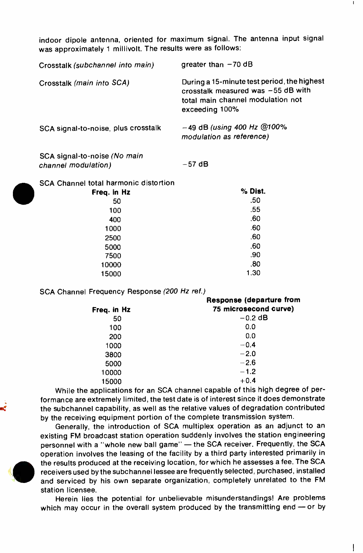indoor dipole antenna, oriented for maximum signal. The antenna input signal was approximately 1 millivolt. The results were as follows:

| Crosstalk (subchannel into main)    | qreater than $-70$ dB                                                                                                                    |
|-------------------------------------|------------------------------------------------------------------------------------------------------------------------------------------|
| Crosstalk (main into SCA)           | During a 15-minute test period, the highest<br>crosstalk measured was -55 dB with<br>total main channel modulation not<br>exceeding 100% |
| SCA signal-to-noise, plus crosstalk | $-49$ dB (using 400 Hz @100%<br>modulation as reference)                                                                                 |
| SCA signal-to-noise (No main        |                                                                                                                                          |

channel modulation) -57 dB

SCA Channel total harmonic distortion

| Freq. in Hz | % Dist. |
|-------------|---------|
| 50          | .50     |
| 100         | .55     |
| 400         | .60     |
| 1000        | .60     |
| 2500        | .60     |
| 5000        | .60     |
| 7500        | .90     |
| 10000       | .80     |
| 15000       | 1.30    |
|             |         |

SCA Channel Frequency Response (200 Hz ref.)

|             | Response (departure from |
|-------------|--------------------------|
| Freq. in Hz | 75 microsecond curve)    |
| 50          | $-0.2$ dB                |
| 100         | 0.0                      |
| 200         | 0.0                      |
| 1000        | $-0.4$                   |
| 3800        | $-2.0$                   |
| 5000        | $-2.6$                   |
| 10000       | $-1.2$                   |
| 15000       | $+0.4$                   |

While the applications for an SCA channel capable of this high degree of performance are extremely limited, the test date is of interest since it does demonstrate the subchannel capability, as well as the relative values of degradation contributed by the receiving equipment portion of the complete transmission system.

Generally, the introduction of SCA multiplex operation as an adjunct to an existing FM broadcast station operation suddenly involves the station engineering personnel with a "whole new ball game" - the SCA receiver. Frequently, the SCA operation involves the leasing of the facility by a third party interested primarily in the results produced at the receiving location, for which he assesses a fee. The SCA receivers used by the subchannel lessee are frequently selected, purchased, installed and serviced by his own separate organization, completely unrelated to the FM station licensee.

Herein lies the potential for unbelievable misunderstandings! Are problems which may occur in the overall system produced by the transmitting end  $-$  or by

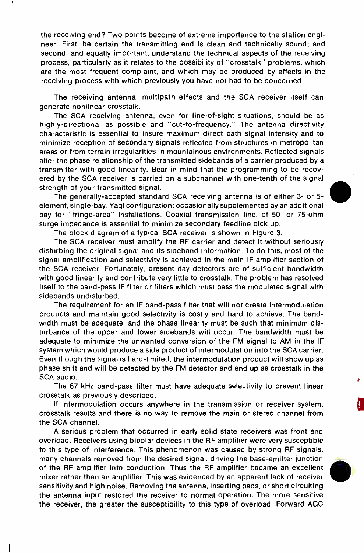the receiving end? Two points become of extreme importance to the station engi neer. First, be certain the transmitting end is clean and technically sound; and second, and equally important, understand the technical aspects of the receiving process, particularly as it relates to the possibility of "crosstalk" problems, which are the most frequent complaint, and which may be produced by effects in the receiving process with which previously you have not had to be concerned.

The receiving antenna, multipath effects and the SCA receiver itself can generate nonlinear crosstalk.

The SCA receiving antenna, even for line-of-sight situations, should be as highly -directional as possible and "cut -to- frequency." The antenna directivity characteristic is essential to insure maximum direct path signal intensity and to minimize reception of secondary signals reflected from structures in metropolitan areas or from terrain irregularities in mountainous environments. Reflected signals alter the phase relationship of the transmitted sidebands of a carrier produced by a transmitter with good linearity. Bear in mind that the programming to be recov ered by the SCA receiver is carried on a subchannel with one -tenth of the signal strength of your transmitted signal.

The generally- accepted standard SCA receiving antenna is of either 3- or 5 element, single -bay, Yagi configuration; occasionally supplemented by an additional bay for "fringe-area" installations. Coaxial transmission line, of 50- or 75-ohm surge impedance is essential to minimize secondary feedline pick up.

The block diagram of a typical SCA receiver is shown in Figure 3.

The SCA receiver must amplify the RF carrier and detect it without seriously disturbing the original signal and its sideband information. To do this, most of the signal amplification and selectivity is achieved in the main IF amplifier section of the SCA receiver. Fortunately, present day detectors are of sufficient bandwidth with good linearity and contribute very little to crosstalk. The problem has resolved itself to the band -pass IF filter or filters which must pass the modulated signal with sidebands undisturbed.

The requirement for an IF band -pass filter that will not create intermodulation products and maintain good selectivity is costly and hard to achieve. The bandwidth must be adequate, and the phase linearity must be such that minimum disturbance of the upper and lower sidebands will occur. The bandwidth must be adequate to minimize the unwanted conversion of the FM signal to AM in the IF system which would produce a side product of intermodulation into the SCA carrier. Even though the signal is hard -limited, the intermodulation product will show up as phase shift and will be detected by the FM detector and end up as crosstalk in the SCA audio.

The 67 kHz band -pass filter must have adequate selectivity to prevent linear crosstalk as previously described.

If intermodulation occurs anywhere in the transmission or receiver system, crosstalk results and there is no way to remove the main or stereo channel from the SCA channel.

A serious problem that occurred in early solid state receivers was front end overload. Receivers using bipolar devices in the RF amplifier were very susceptible to this type of interference. This phenomenon was caused by strong RF signals, many channels removed from the desired signal, driving the base -emitter junction of the RF amplifier into conduction. Thus the RF amplifier became an excellent mixer rather than an amplifier. This was evidenced by an apparent lack of receiver sensitivity and high noise. Removing the antenna, inserting pads, or short circuiting the antenna input restored the receiver to normal operation. The more sensitive the receiver, the greater the susceptibility to this type of overload. Forward AGC

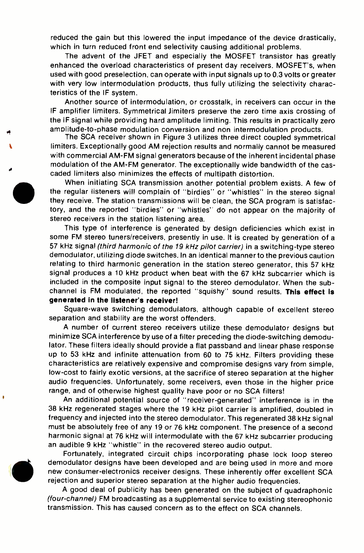reduced the gain but this lowered the input impedance of the device drastically, which in turn reduced front end selectivity causing additional problems.

The advent of the JFET and especially the MOSFET transistor has greatly enhanced the overload characteristics of present day receivers. MOSFET's, when used with good preselection, can operate with input signals up to 0.3 volts or greater with very low intermodulation products, thus fully utilizing the selectivity characteristics of the IF system.

Another source of intermodulation, or crosstalk, in receivers can occur in the IF amplifier limiters. Symmetrical limiters preserve the zero time axis crossing of the IF signal while providing hard amplitude limiting. This results in practically zero amplitude -to -phase modulation conversion and non intermodulation products.

The SCA receiver shown in Figure 3 utilizes three direct coupled symmetrical limiters. Exceptionally good AM rejection results and normally cannot be measured with commercial AM -FM signal generators because of the inherent incidental phase modulation of the AM -FM generator. The exceptionally wide bandwidth of the cas- caded limiters also minimizes the effects of multipath distortion.

When initiating SCA transmission another potential problem exists. A few of the regular listeners will complain of "birdies" or "whistles" in the stereo signal they receive. The station transmissions will be clean, the SCA program is satisfactory, and the reported "birdies" or "whistles' do not appear on the majority of stereo receivers in the station listening area.

This type of interference is generated by design deficiencies which exist in some FM stereo tuners/receivers, presently in use. It is created by generation of a 57 kHz signal (third harmonic of the 19 kHz pilot carrier) in a switching -type stereo demodulator, utilizing diode switches. In an identical manner to the previous caution relating to third harmonic generation in the station stereo generator, this 57 kHz signal produces a 10 kHz product when beat with the 67 kHz subcarrier which is included in the composite input signal to the stereo demodulator. When the sub channel is FM modulated, the reported "squishy" sound results. This effect is generated in the listener's receiver!

Square -wave switching demodulators, although capable of excellent stereo separation and stability are the worst offenders.

A number of current stereo receivers utilize these demodulator designs but minimize SCA interference by use of a filter preceding the diode -switching demodulator. These filters ideally should provide a flat passband and linear phase response up to 53 kHz and infinite attenuation from 60 to 75 kHz. Filters providing these characteristics are relatively expensive and compromise designs vary from simple, low -cost to fairly exotic versions, at the sacrifice of stereo separation at the higher audio frequencies. Unfortunately, some receivers, even those in the higher price range, and of otherwise highest quality have poor or no SCA filters!

An additional potential source of "receiver- generated" interference is in the 38 kHz regenerated stages where the 19 kHz pilot carrier is amplified, doubled in frequency and injected into the stereo demodulator. This regenerated 38 kHz signal must be absolutely free of any 19 or 76 kHz component. The presence of a second harmonic signal at 76 kHz will intermodulate with the 67 kHz subcarrier producing an audible 9 kHz "whistle" in the recovered stereo audio output.

Fortunately, integrated circuit chips incorporating phase lock loop stereo demodulator designs have been developed and are being used in more and more new consumer -electronics receiver designs. These inherently offer excellent SCA rejection and superior stereo separation at the higher audio frequencies.

A good deal of publicity has been generated on the subject of quadraphonic (four- channel) FM broadcasting as a supplemental service to existing stereophonic transmission. This has caused concern as to the effect on SCA channels.

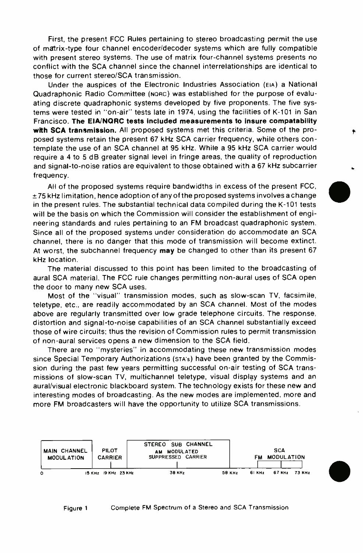First, the present FCC Rules pertaining to stereo broadcasting permit the use of matrix -type four channel encoder /decoder systems which are fully compatible with present stereo systems. The use of matrix four -channel systems presents no conflict with the SCA channel since the channel interrelationships are identical to those for current stereo/SCA transmission.

Under the auspices of the Electronic Industries Association (EIA) a National Quadraphonic Radio Committee (NORC) was established for the purpose of evaluating discrete quadraphonic systems developed by five proponents. The five systems were tested in "on-air" tests late in 1974, using the facilities of K-101 in San Francisco. The EIA/NORC tests included measurements to insure compatability with SCA transmission. All proposed systems met this criteria. Some of the proposed systems retain the present 67 kHz SCA carrier frequency, while others contemplate the use of an SCA channel at 95 kHz. While a 95 kHz SCA carrier would require a 4 to 5 dB greater signal level in fringe areas, the quality of reproduction and signal -to -noise ratios are equivalent to those obtained with a 67 kHz subcarrier frequency.

All of the proposed systems require bandwidths in excess of the present FCC,  $\pm 75$  kHz limitation, hence adoption of any of the proposed systems involves a change in the present rules. The substantial technical data compiled during the K -101 tests will be the basis on which the Commission will consider the establishment of engineering standards and rules pertaining to an FM broadcast quadraphonic system. Since all of the proposed systems under consideration do accommodate an SCA channel, there is no danger that this mode of transmission will become extinct. At worst, the subchannel frequency may be changed to other than its present 67 kHz location.

The material discussed to this point has been limited to the broadcasting of aural SCA material. The FCC rule changes permitting non -aural uses of SCA open the door to many new SCA uses.

Most of the "visual" transmission modes, such as slow -scan TV, facsimile, teletype, etc., are readily accommodated by an SCA channel. Most of the modes above are regularly transmitted over low grade telephone circuits. The response, distortion and signal -to -noise capabilities of an SCA channel substantially exceed those of wire circuits; thus the revision of Commission rules to permit transmission of non -aural services opens a new dimension to the SCA field.

There are no "mysteries" in accommodating these new transmission modes since Special Temporary Authorizations (STA's) have been granted by the Commission during the past few years permitting successful on-air testing of SCA transmissions of slow -scan TV, multichannel teletype, visual display systems and an aural/visual electronic blackboard system. The technology exists for these new and interesting modes of broadcasting. As the new modes are implemented, more and more FM broadcasters will have the opportunity to utilize SCA transmissions.

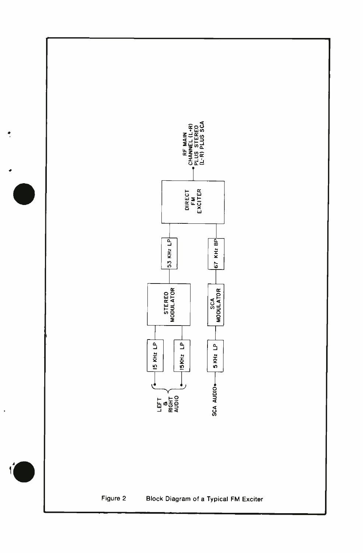

J.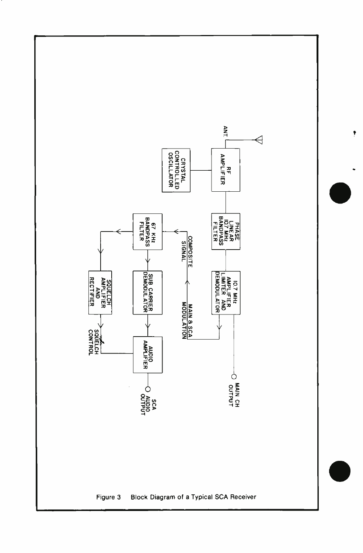

Ť